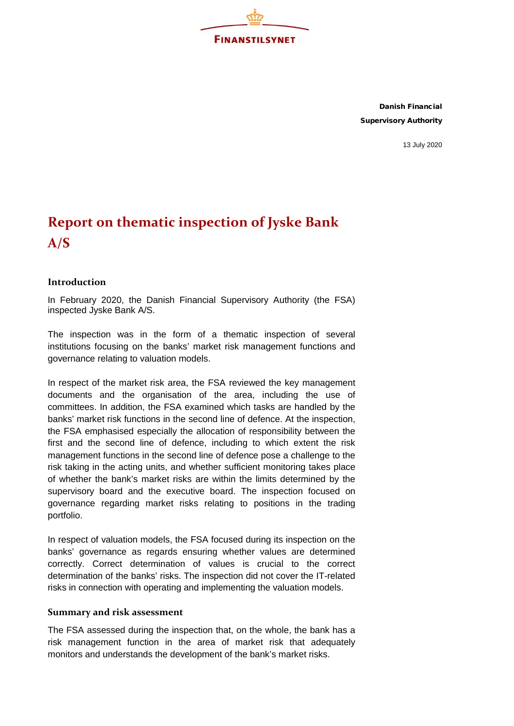

Danish Financial Supervisory Authority

13 July 2020

## **Report on thematic inspection of Jyske Bank A/S**

## **Introduction**

In February 2020, the Danish Financial Supervisory Authority (the FSA) inspected Jyske Bank A/S.

The inspection was in the form of a thematic inspection of several institutions focusing on the banks' market risk management functions and governance relating to valuation models.

In respect of the market risk area, the FSA reviewed the key management documents and the organisation of the area, including the use of committees. In addition, the FSA examined which tasks are handled by the banks' market risk functions in the second line of defence. At the inspection, the FSA emphasised especially the allocation of responsibility between the first and the second line of defence, including to which extent the risk management functions in the second line of defence pose a challenge to the risk taking in the acting units, and whether sufficient monitoring takes place of whether the bank's market risks are within the limits determined by the supervisory board and the executive board. The inspection focused on governance regarding market risks relating to positions in the trading portfolio.

In respect of valuation models, the FSA focused during its inspection on the banks' governance as regards ensuring whether values are determined correctly. Correct determination of values is crucial to the correct determination of the banks' risks. The inspection did not cover the IT-related risks in connection with operating and implementing the valuation models.

## **Summary and risk assessment**

The FSA assessed during the inspection that, on the whole, the bank has a risk management function in the area of market risk that adequately monitors and understands the development of the bank's market risks.